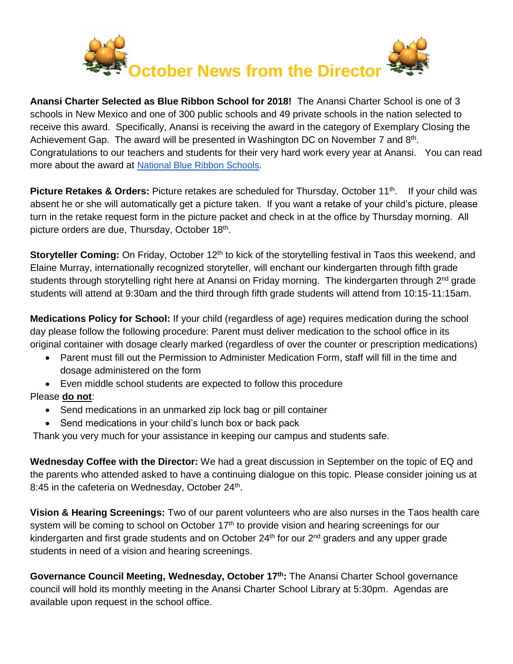

**Anansi Charter Selected as Blue Ribbon School for 2018!** The Anansi Charter School is one of 3 schools in New Mexico and one of 300 public schools and 49 private schools in the nation selected to receive this award. Specifically, Anansi is receiving the award in the category of Exemplary Closing the Achievement Gap. The award will be presented in Washington DC on November 7 and 8<sup>th</sup>. Congratulations to our teachers and students for their very hard work every year at Anansi. You can read more about the award at [National Blue Ribbon Schools](https://www2.ed.gov/programs/nclbbrs/index.html).

**Picture Retakes & Orders:** Picture retakes are scheduled for Thursday, October 11<sup>th</sup>. If your child was absent he or she will automatically get a picture taken. If you want a retake of your child's picture, please turn in the retake request form in the picture packet and check in at the office by Thursday morning. All picture orders are due, Thursday, October 18th .

**Storyteller Coming:** On Friday, October 12<sup>th</sup> to kick of the storytelling festival in Taos this weekend, and Elaine Murray, internationally recognized storyteller, will enchant our kindergarten through fifth grade students through storytelling right here at Anansi on Friday morning. The kindergarten through 2<sup>nd</sup> grade students will attend at 9:30am and the third through fifth grade students will attend from 10:15-11:15am.

**Medications Policy for School:** If your child (regardless of age) requires medication during the school day please follow the following procedure: Parent must deliver medication to the school office in its original container with dosage clearly marked (regardless of over the counter or prescription medications)

- Parent must fill out the Permission to Administer Medication Form, staff will fill in the time and dosage administered on the form
- Even middle school students are expected to follow this procedure

## Please **do not**:

- Send medications in an unmarked zip lock bag or pill container
- Send medications in your child's lunch box or back pack

Thank you very much for your assistance in keeping our campus and students safe.

**Wednesday Coffee with the Director:** We had a great discussion in September on the topic of EQ and the parents who attended asked to have a continuing dialogue on this topic. Please consider joining us at 8:45 in the cafeteria on Wednesday, October 24<sup>th</sup>.

**Vision & Hearing Screenings:** Two of our parent volunteers who are also nurses in the Taos health care system will be coming to school on October 17<sup>th</sup> to provide vision and hearing screenings for our kindergarten and first grade students and on October 24<sup>th</sup> for our 2<sup>nd</sup> graders and any upper grade students in need of a vision and hearing screenings.

Governance Council Meeting, Wednesday, October 17<sup>th</sup>: The Anansi Charter School governance council will hold its monthly meeting in the Anansi Charter School Library at 5:30pm. Agendas are available upon request in the school office.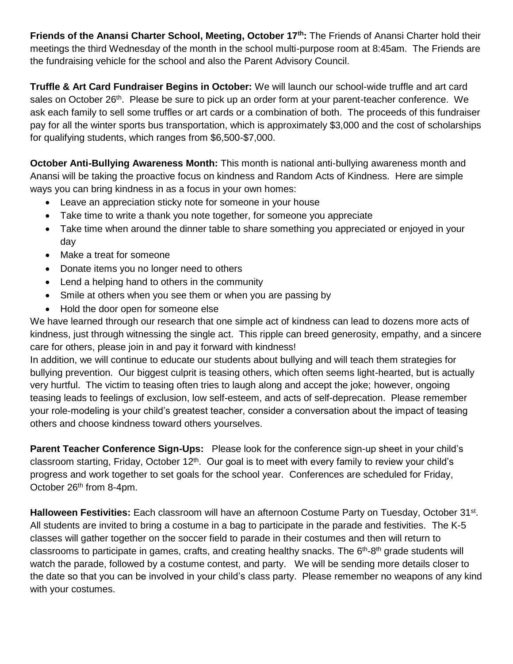**Friends of the Anansi Charter School, Meeting, October 17th:** The Friends of Anansi Charter hold their meetings the third Wednesday of the month in the school multi-purpose room at 8:45am. The Friends are the fundraising vehicle for the school and also the Parent Advisory Council.

**Truffle & Art Card Fundraiser Begins in October:** We will launch our school-wide truffle and art card sales on October 26<sup>th</sup>. Please be sure to pick up an order form at your parent-teacher conference. We ask each family to sell some truffles or art cards or a combination of both. The proceeds of this fundraiser pay for all the winter sports bus transportation, which is approximately \$3,000 and the cost of scholarships for qualifying students, which ranges from \$6,500-\$7,000.

**October Anti-Bullying Awareness Month:** This month is national anti-bullying awareness month and Anansi will be taking the proactive focus on kindness and Random Acts of Kindness. Here are simple ways you can bring kindness in as a focus in your own homes:

- Leave an appreciation sticky note for someone in your house
- Take time to write a thank you note together, for someone you appreciate
- Take time when around the dinner table to share something you appreciated or enjoyed in your day
- Make a treat for someone
- Donate items you no longer need to others
- Lend a helping hand to others in the community
- Smile at others when you see them or when you are passing by
- Hold the door open for someone else

We have learned through our research that one simple act of kindness can lead to dozens more acts of kindness, just through witnessing the single act. This ripple can breed generosity, empathy, and a sincere care for others, please join in and pay it forward with kindness!

In addition, we will continue to educate our students about bullying and will teach them strategies for bullying prevention. Our biggest culprit is teasing others, which often seems light-hearted, but is actually very hurtful. The victim to teasing often tries to laugh along and accept the joke; however, ongoing teasing leads to feelings of exclusion, low self-esteem, and acts of self-deprecation. Please remember your role-modeling is your child's greatest teacher, consider a conversation about the impact of teasing others and choose kindness toward others yourselves.

**Parent Teacher Conference Sign-Ups:** Please look for the conference sign-up sheet in your child's classroom starting, Friday, October 12<sup>th</sup>. Our goal is to meet with every family to review your child's progress and work together to set goals for the school year. Conferences are scheduled for Friday, October 26<sup>th</sup> from 8-4pm.

Halloween Festivities: Each classroom will have an afternoon Costume Party on Tuesday, October 31<sup>st</sup>. All students are invited to bring a costume in a bag to participate in the parade and festivities. The K-5 classes will gather together on the soccer field to parade in their costumes and then will return to classrooms to participate in games, crafts, and creating healthy snacks. The 6<sup>th</sup>-8<sup>th</sup> grade students will watch the parade, followed by a costume contest, and party. We will be sending more details closer to the date so that you can be involved in your child's class party. Please remember no weapons of any kind with your costumes.